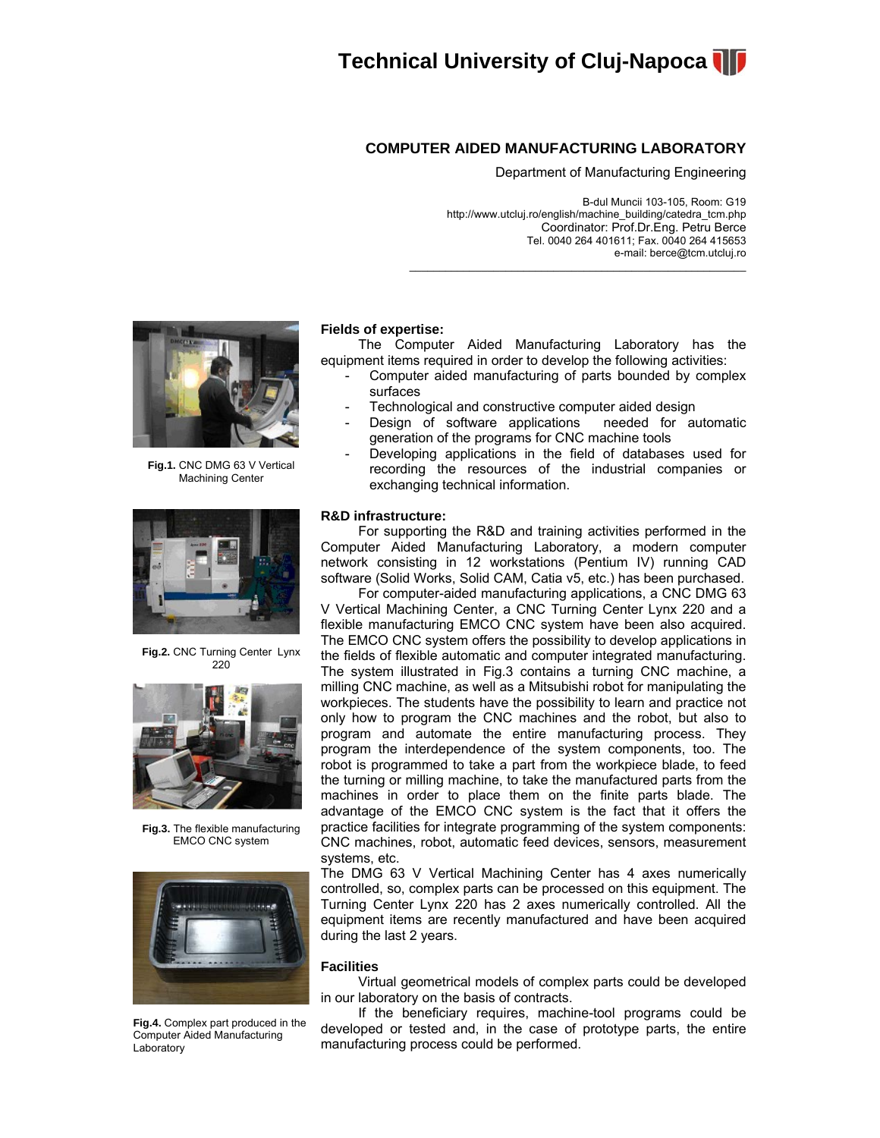

## **COMPUTER AIDED MANUFACTURING LABORATORY**

Department of Manufacturing Engineering

 B-dul Muncii 103-105, Room: G19 http://www.utcluj.ro/english/machine\_building/catedra\_tcm.php Coordinator: Prof.Dr.Eng. Petru Berce Tel. 0040 264 401611; Fax. 0040 264 415653 e-mail: berce@tcm.utcluj.ro

 $\mathcal{L}_\text{max}$  and  $\mathcal{L}_\text{max}$  and  $\mathcal{L}_\text{max}$  and  $\mathcal{L}_\text{max}$  and  $\mathcal{L}_\text{max}$ 



**Fig.1.** CNC DMG 63 V Vertical Machining Center



**Fig.2.** CNC Turning Center Lynx 220



**Fig.3.** The flexible manufacturing EMCO CNC system



**Fig.4.** Complex part produced in the Computer Aided Manufacturing Laboratory

### **Fields of expertise:**

 The Computer Aided Manufacturing Laboratory has the equipment items required in order to develop the following activities:

- Computer aided manufacturing of parts bounded by complex surfaces
- Technological and constructive computer aided design
- Design of software applications needed for automatic generation of the programs for CNC machine tools
- Developing applications in the field of databases used for recording the resources of the industrial companies or exchanging technical information.

### **R&D infrastructure:**

 For supporting the R&D and training activities performed in the Computer Aided Manufacturing Laboratory, a modern computer network consisting in 12 workstations (Pentium IV) running CAD software (Solid Works, Solid CAM, Catia v5, etc.) has been purchased.

 For computer-aided manufacturing applications, a CNC DMG 63 V Vertical Machining Center, a CNC Turning Center Lynx 220 and a flexible manufacturing EMCO CNC system have been also acquired. The EMCO CNC system offers the possibility to develop applications in the fields of flexible automatic and computer integrated manufacturing. The system illustrated in Fig.3 contains a turning CNC machine, a milling CNC machine, as well as a Mitsubishi robot for manipulating the workpieces. The students have the possibility to learn and practice not only how to program the CNC machines and the robot, but also to program and automate the entire manufacturing process. They program the interdependence of the system components, too. The robot is programmed to take a part from the workpiece blade, to feed the turning or milling machine, to take the manufactured parts from the machines in order to place them on the finite parts blade. The advantage of the EMCO CNC system is the fact that it offers the practice facilities for integrate programming of the system components: CNC machines, robot, automatic feed devices, sensors, measurement systems, etc.

The DMG 63 V Vertical Machining Center has 4 axes numerically controlled, so, complex parts can be processed on this equipment. The Turning Center Lynx 220 has 2 axes numerically controlled. All the equipment items are recently manufactured and have been acquired during the last 2 years.

### **Facilities**

 Virtual geometrical models of complex parts could be developed in our laboratory on the basis of contracts.

 If the beneficiary requires, machine-tool programs could be developed or tested and, in the case of prototype parts, the entire manufacturing process could be performed.